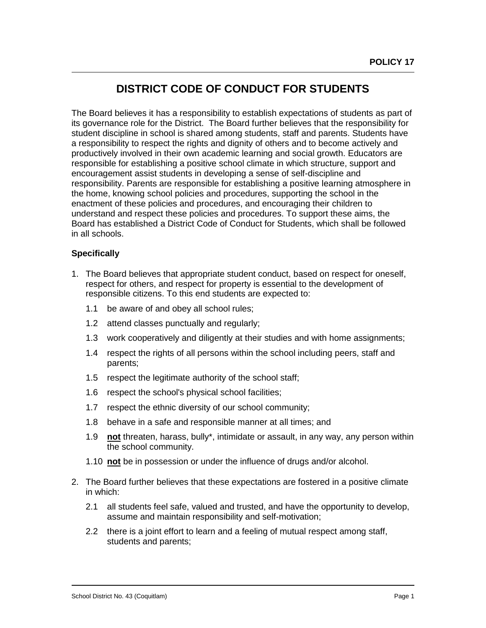## **DISTRICT CODE OF CONDUCT FOR STUDENTS**

The Board believes it has a responsibility to establish expectations of students as part of its governance role for the District. The Board further believes that the responsibility for student discipline in school is shared among students, staff and parents. Students have a responsibility to respect the rights and dignity of others and to become actively and productively involved in their own academic learning and social growth. Educators are responsible for establishing a positive school climate in which structure, support and encouragement assist students in developing a sense of self-discipline and responsibility. Parents are responsible for establishing a positive learning atmosphere in the home, knowing school policies and procedures, supporting the school in the enactment of these policies and procedures, and encouraging their children to understand and respect these policies and procedures. To support these aims, the Board has established a District Code of Conduct for Students, which shall be followed in all schools.

## **Specifically**

- 1. The Board believes that appropriate student conduct, based on respect for oneself, respect for others, and respect for property is essential to the development of responsible citizens. To this end students are expected to:
	- 1.1 be aware of and obey all school rules;
	- 1.2 attend classes punctually and regularly;
	- 1.3 work cooperatively and diligently at their studies and with home assignments;
	- 1.4 respect the rights of all persons within the school including peers, staff and parents;
	- 1.5 respect the legitimate authority of the school staff;
	- 1.6 respect the school's physical school facilities;
	- 1.7 respect the ethnic diversity of our school community;
	- 1.8 behave in a safe and responsible manner at all times; and
	- 1.9 **not** threaten, harass, bully\*, intimidate or assault, in any way, any person within the school community.
	- 1.10 **not** be in possession or under the influence of drugs and/or alcohol.
- 2. The Board further believes that these expectations are fostered in a positive climate in which:
	- 2.1 all students feel safe, valued and trusted, and have the opportunity to develop, assume and maintain responsibility and self-motivation;
	- 2.2 there is a joint effort to learn and a feeling of mutual respect among staff, students and parents;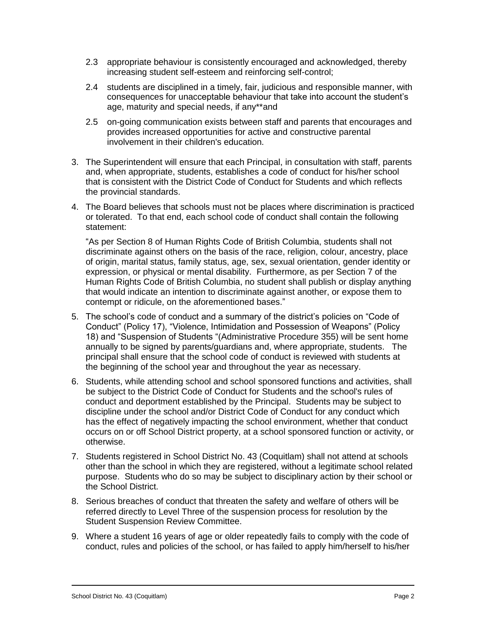- 2.3 appropriate behaviour is consistently encouraged and acknowledged, thereby increasing student self-esteem and reinforcing self-control;
- 2.4 students are disciplined in a timely, fair, judicious and responsible manner, with consequences for unacceptable behaviour that take into account the student's age, maturity and special needs, if any\*\*and
- 2.5 on-going communication exists between staff and parents that encourages and provides increased opportunities for active and constructive parental involvement in their children's education.
- 3. The Superintendent will ensure that each Principal, in consultation with staff, parents and, when appropriate, students, establishes a code of conduct for his/her school that is consistent with the District Code of Conduct for Students and which reflects the provincial standards.
- 4. The Board believes that schools must not be places where discrimination is practiced or tolerated. To that end, each school code of conduct shall contain the following statement:

"As per Section 8 of Human Rights Code of British Columbia, students shall not discriminate against others on the basis of the race, religion, colour, ancestry, place of origin, marital status, family status, age, sex, sexual orientation, gender identity or expression, or physical or mental disability. Furthermore, as per Section 7 of the Human Rights Code of British Columbia, no student shall publish or display anything that would indicate an intention to discriminate against another, or expose them to contempt or ridicule, on the aforementioned bases."

- 5. The school's code of conduct and a summary of the district's policies on "Code of Conduct" (Policy 17), "Violence, Intimidation and Possession of Weapons" (Policy 18) and "Suspension of Students "(Administrative Procedure 355) will be sent home annually to be signed by parents/guardians and, where appropriate, students. The principal shall ensure that the school code of conduct is reviewed with students at the beginning of the school year and throughout the year as necessary.
- 6. Students, while attending school and school sponsored functions and activities, shall be subject to the District Code of Conduct for Students and the school's rules of conduct and deportment established by the Principal. Students may be subject to discipline under the school and/or District Code of Conduct for any conduct which has the effect of negatively impacting the school environment, whether that conduct occurs on or off School District property, at a school sponsored function or activity, or otherwise.
- 7. Students registered in School District No. 43 (Coquitlam) shall not attend at schools other than the school in which they are registered, without a legitimate school related purpose. Students who do so may be subject to disciplinary action by their school or the School District.
- 8. Serious breaches of conduct that threaten the safety and welfare of others will be referred directly to Level Three of the suspension process for resolution by the Student Suspension Review Committee.
- 9. Where a student 16 years of age or older repeatedly fails to comply with the code of conduct, rules and policies of the school, or has failed to apply him/herself to his/her